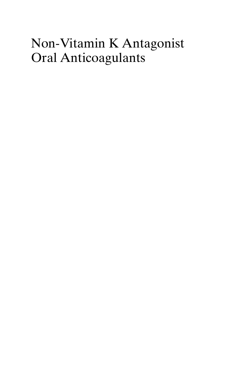## Non-Vitamin K Antagonist Oral Anticoagulants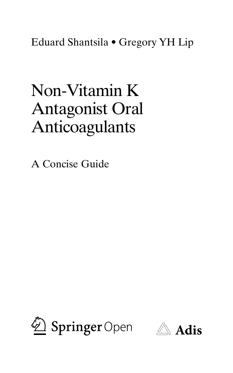Eduard Shantsila • Gregory YH Lip

## Non-Vitamin K Antagonist Oral Anticoagulants

A Concise Guide



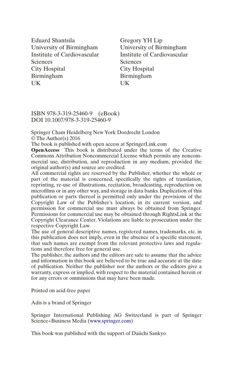Eduard Shantsila University of Birmingham Institute of Cardiovascular Sciences City Hospital Birmingham **UK** 

Gregory YH Lip University of Birmingham Institute of Cardiovascular **Sciences** City Hospital Birmingham UK

ISBN 978-3-319-25460-9 (eBook) DOI 10.1007/978-3-319-25460-9

Springer Cham Heidelberg New York Dordrecht London © The Author(s) 2016

The book is published with open access at SpringerLink.com

**OpenAccess** This book is distributed under the terms of the Creative Commons Attribution Noncommercial License which permits any noncommercial use, distribution, and reproduction in any medium, provided the original author(s) and source are credited.

All commercial rights are reserved by the Publisher, whether the whole or part of the material is concerned, specifically the rights of translation, reprinting, re-use of illustrations, recitation, broadcasting, reproduction on microfilms or in any other way, and storage in data banks. Duplication of this publication or parts thereof is permitted only under the provisions of the Copyright Law of the Publisher's location, in its current version, and permission for commercial use must always be obtained from Springer. Permissions for commercial use may be obtained through RightsLink at the Copyright Clearance Center. Violations are liable to prosecution under the respective Copyright Law.

The use of general descriptive names, registered names, trademarks, etc. in this publication does not imply, even in the absence of a specific statement, that such names are exempt from the relevant protective laws and regulations and therefore free for general use.

The publisher, the authors and the editors are safe to assume that the advice and information in this book are believed to be true and accurate at the date of publication. Neither the publisher nor the authors or the editors give a warranty, express or implied, with respect to the material contained herein or for any errors or ommissions that may have been made.

Printed on acid-free paper

Adis is a brand of Springer

Springer International Publishing AG Switzerland is part of Springer Science+Business Media (<www.springer.com>)

This book was published with the support of Daiichi Sankyo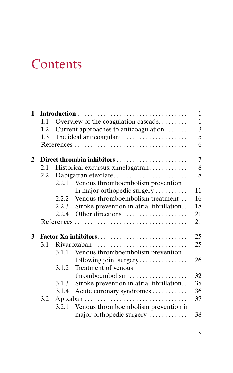## **Contents**

| $\mathbf{1}$ |                                |                                       |                                          | 1<br>$\overline{1}$ |  |  |
|--------------|--------------------------------|---------------------------------------|------------------------------------------|---------------------|--|--|
|              | 1.1                            | Overview of the coagulation cascade   |                                          |                     |  |  |
|              | 1.2                            | Current approaches to anticoagulation |                                          |                     |  |  |
|              | The ideal anticoagulant<br>1.3 |                                       |                                          |                     |  |  |
|              |                                |                                       |                                          | 6                   |  |  |
| 2            | Direct thrombin inhibitors     |                                       |                                          |                     |  |  |
|              | 2.1                            | Historical excursus: ximelagatran     |                                          |                     |  |  |
|              | 2.2                            | Dabigatran etexilate                  |                                          |                     |  |  |
|              |                                | 2.2.1                                 | Venous thromboembolism prevention        |                     |  |  |
|              |                                |                                       | in major orthopedic surgery              | 11                  |  |  |
|              |                                |                                       | 2.2.2 Venous thromboembolism treatment   | 16                  |  |  |
|              |                                | 2.2.3                                 | Stroke prevention in atrial fibrillation | 18                  |  |  |
|              |                                | 2.2.4                                 |                                          | 21                  |  |  |
|              |                                |                                       |                                          | 21                  |  |  |
| 3            | 25<br>Factor Xa inhibitors     |                                       |                                          |                     |  |  |
|              | 3.1<br>Rivaroxaban             |                                       |                                          |                     |  |  |
|              |                                | 3.1.1                                 | Venous thromboembolism prevention        |                     |  |  |
|              |                                |                                       | following joint surgery                  | 26                  |  |  |
|              |                                | 3.1.2                                 | Treatment of venous                      |                     |  |  |
|              |                                |                                       | thromboembolism                          | 32                  |  |  |
|              |                                | 3.1.3                                 | Stroke prevention in atrial fibrillation | 35                  |  |  |
|              |                                | 3.1.4                                 | Acute coronary syndromes                 | 36                  |  |  |
|              | 3.2                            |                                       |                                          | 37                  |  |  |
|              |                                | 3.2.1                                 | Venous thromboembolism prevention in     |                     |  |  |
|              |                                |                                       | major orthopedic surgery                 | 38                  |  |  |
|              |                                |                                       |                                          |                     |  |  |